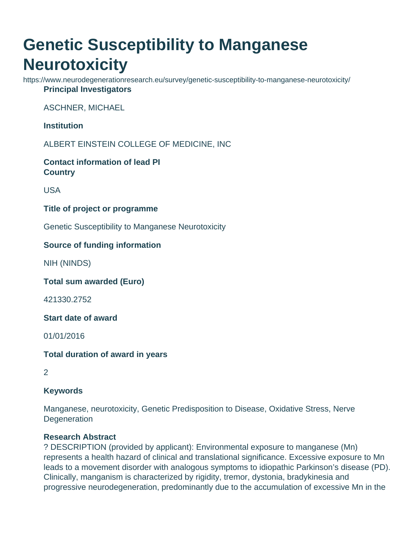# **Genetic Susceptibility to Manganese Neurotoxicity**

https://www.neurodegenerationresearch.eu/survey/genetic-susceptibility-to-manganese-neurotoxicity/ **Principal Investigators**

ASCHNER, MICHAEL

**Institution**

ALBERT EINSTEIN COLLEGE OF MEDICINE, INC

**Contact information of lead PI Country**

USA

#### **Title of project or programme**

Genetic Susceptibility to Manganese Neurotoxicity

## **Source of funding information**

NIH (NINDS)

**Total sum awarded (Euro)**

421330.2752

**Start date of award**

01/01/2016

## **Total duration of award in years**

2

## **Keywords**

Manganese, neurotoxicity, Genetic Predisposition to Disease, Oxidative Stress, Nerve **Degeneration** 

## **Research Abstract**

? DESCRIPTION (provided by applicant): Environmental exposure to manganese (Mn) represents a health hazard of clinical and translational significance. Excessive exposure to Mn leads to a movement disorder with analogous symptoms to idiopathic Parkinson's disease (PD). Clinically, manganism is characterized by rigidity, tremor, dystonia, bradykinesia and progressive neurodegeneration, predominantly due to the accumulation of excessive Mn in the